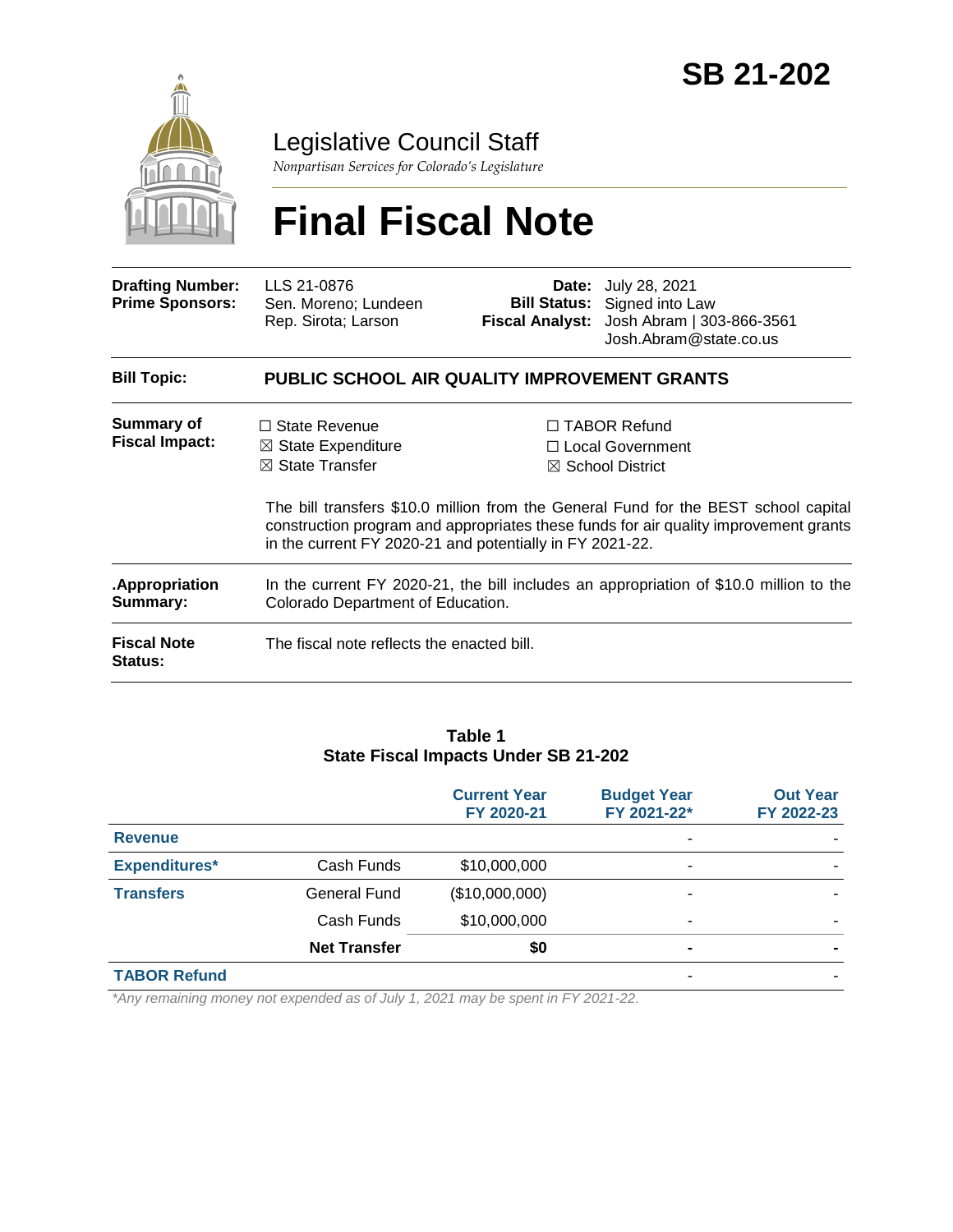

Legislative Council Staff

*Nonpartisan Services for Colorado's Legislature*

# **Final Fiscal Note**

| <b>Drafting Number:</b><br><b>Prime Sponsors:</b> | LLS 21-0876<br>Sen. Moreno; Lundeen<br>Rep. Sirota; Larson                                                                                      |  | <b>Date:</b> July 28, 2021<br><b>Bill Status:</b> Signed into Law<br>Fiscal Analyst: Josh Abram   303-866-3561<br>Josh.Abram@state.co.us                                                                                                           |  |  |
|---------------------------------------------------|-------------------------------------------------------------------------------------------------------------------------------------------------|--|----------------------------------------------------------------------------------------------------------------------------------------------------------------------------------------------------------------------------------------------------|--|--|
| <b>Bill Topic:</b>                                | <b>PUBLIC SCHOOL AIR QUALITY IMPROVEMENT GRANTS</b>                                                                                             |  |                                                                                                                                                                                                                                                    |  |  |
| Summary of<br><b>Fiscal Impact:</b>               | $\Box$ State Revenue<br>$\boxtimes$ State Expenditure<br>$\boxtimes$ State Transfer<br>in the current FY 2020-21 and potentially in FY 2021-22. |  | □ TABOR Refund<br>□ Local Government<br>$\boxtimes$ School District<br>The bill transfers \$10.0 million from the General Fund for the BEST school capital<br>construction program and appropriates these funds for air quality improvement grants |  |  |
| .Appropriation<br>Summary:                        | In the current FY 2020-21, the bill includes an appropriation of \$10.0 million to the<br>Colorado Department of Education.                     |  |                                                                                                                                                                                                                                                    |  |  |
| <b>Fiscal Note</b><br><b>Status:</b>              | The fiscal note reflects the enacted bill.                                                                                                      |  |                                                                                                                                                                                                                                                    |  |  |

#### **Table 1 State Fiscal Impacts Under SB 21-202**

|                      |                     | <b>Current Year</b><br>FY 2020-21 | <b>Budget Year</b><br>FY 2021-22* | <b>Out Year</b><br>FY 2022-23 |
|----------------------|---------------------|-----------------------------------|-----------------------------------|-------------------------------|
| <b>Revenue</b>       |                     |                                   |                                   |                               |
| <b>Expenditures*</b> | Cash Funds          | \$10,000,000                      | -                                 |                               |
| <b>Transfers</b>     | General Fund        | (\$10,000,000)                    |                                   |                               |
|                      | Cash Funds          | \$10,000,000                      | -                                 |                               |
|                      | <b>Net Transfer</b> | \$0                               | -                                 |                               |
| <b>TABOR Refund</b>  |                     |                                   |                                   |                               |

*\*Any remaining money not expended as of July 1, 2021 may be spent in FY 2021-22.*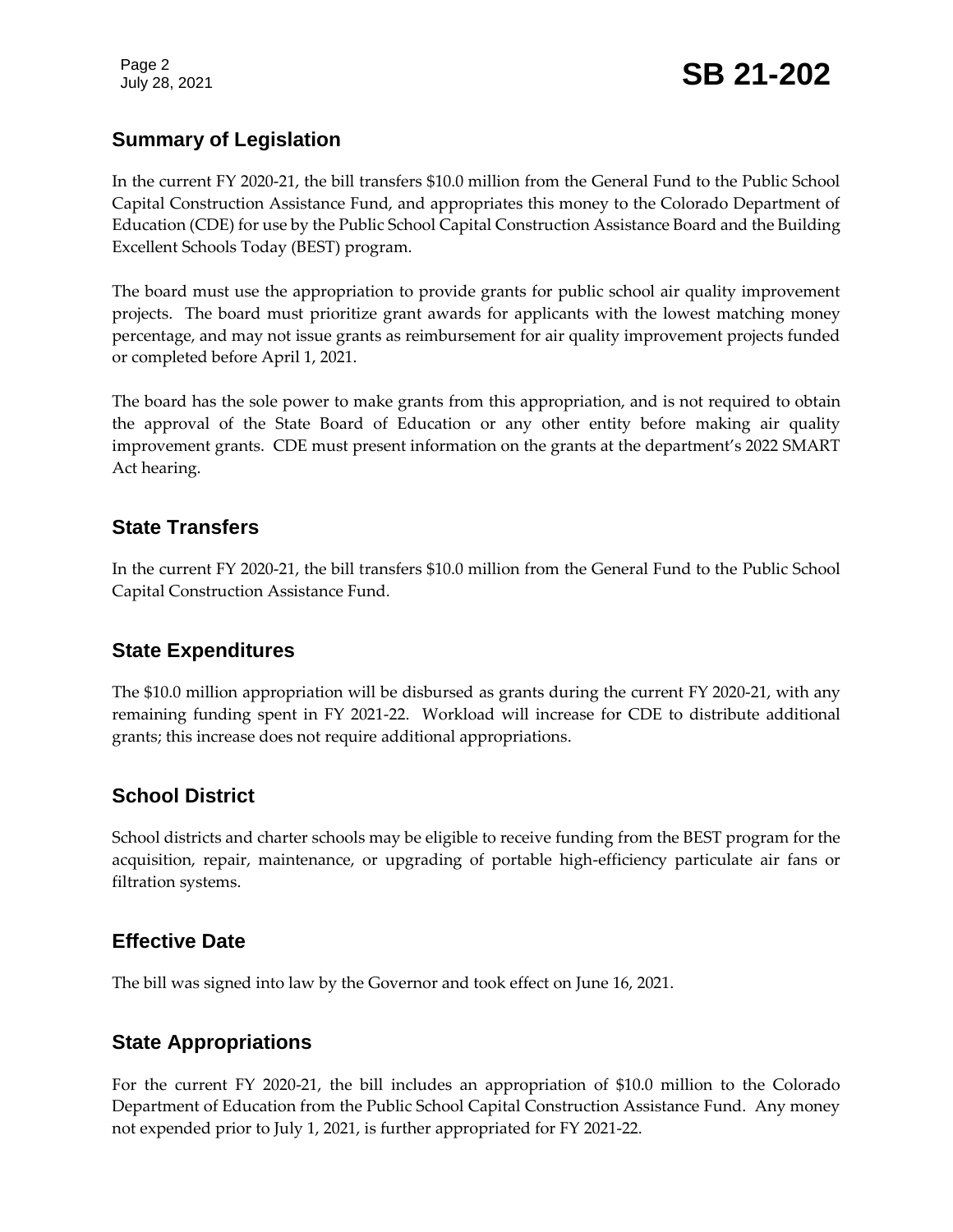Page 2

## **Summary of Legislation**

In the current FY 2020-21, the bill transfers \$10.0 million from the General Fund to the Public School Capital Construction Assistance Fund, and appropriates this money to the Colorado Department of Education (CDE) for use by the Public School Capital Construction Assistance Board and the Building Excellent Schools Today (BEST) program.

The board must use the appropriation to provide grants for public school air quality improvement projects. The board must prioritize grant awards for applicants with the lowest matching money percentage, and may not issue grants as reimbursement for air quality improvement projects funded or completed before April 1, 2021.

The board has the sole power to make grants from this appropriation, and is not required to obtain the approval of the State Board of Education or any other entity before making air quality improvement grants. CDE must present information on the grants at the department's 2022 SMART Act hearing.

### **State Transfers**

In the current FY 2020-21, the bill transfers \$10.0 million from the General Fund to the Public School Capital Construction Assistance Fund.

#### **State Expenditures**

The \$10.0 million appropriation will be disbursed as grants during the current FY 2020-21, with any remaining funding spent in FY 2021-22. Workload will increase for CDE to distribute additional grants; this increase does not require additional appropriations.

## **School District**

School districts and charter schools may be eligible to receive funding from the BEST program for the acquisition, repair, maintenance, or upgrading of portable high-efficiency particulate air fans or filtration systems.

## **Effective Date**

The bill was signed into law by the Governor and took effect on June 16, 2021.

## **State Appropriations**

For the current FY 2020-21, the bill includes an appropriation of \$10.0 million to the Colorado Department of Education from the Public School Capital Construction Assistance Fund. Any money not expended prior to July 1, 2021, is further appropriated for FY 2021-22.